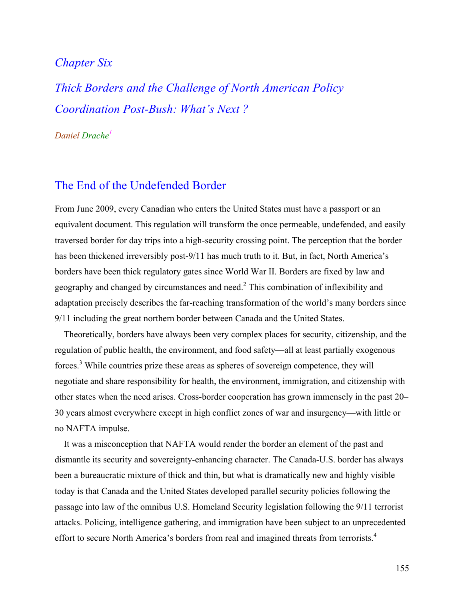### *Chapter Six*

*Thick Borders and the Challenge of North American Policy Coordination Post-Bush: What's Next ?*

*Daniel Drache<sup>1</sup>*

#### The End of the Undefended Border

From June 2009, every Canadian who enters the United States must have a passport or an equivalent document. This regulation will transform the once permeable, undefended, and easily traversed border for day trips into a high-security crossing point. The perception that the border has been thickened irreversibly post-9/11 has much truth to it. But, in fact, North America's borders have been thick regulatory gates since World War II. Borders are fixed by law and geography and changed by circumstances and need.<sup>2</sup> This combination of inflexibility and adaptation precisely describes the far-reaching transformation of the world's many borders since 9/11 including the great northern border between Canada and the United States.

Theoretically, borders have always been very complex places for security, citizenship, and the regulation of public health, the environment, and food safety—all at least partially exogenous forces.<sup>3</sup> While countries prize these areas as spheres of sovereign competence, they will negotiate and share responsibility for health, the environment, immigration, and citizenship with other states when the need arises. Cross-border cooperation has grown immensely in the past 20– 30 years almost everywhere except in high conflict zones of war and insurgency—with little or no NAFTA impulse.

It was a misconception that NAFTA would render the border an element of the past and dismantle its security and sovereignty-enhancing character. The Canada-U.S. border has always been a bureaucratic mixture of thick and thin, but what is dramatically new and highly visible today is that Canada and the United States developed parallel security policies following the passage into law of the omnibus U.S. Homeland Security legislation following the 9/11 terrorist attacks. Policing, intelligence gathering, and immigration have been subject to an unprecedented effort to secure North America's borders from real and imagined threats from terrorists.<sup>4</sup>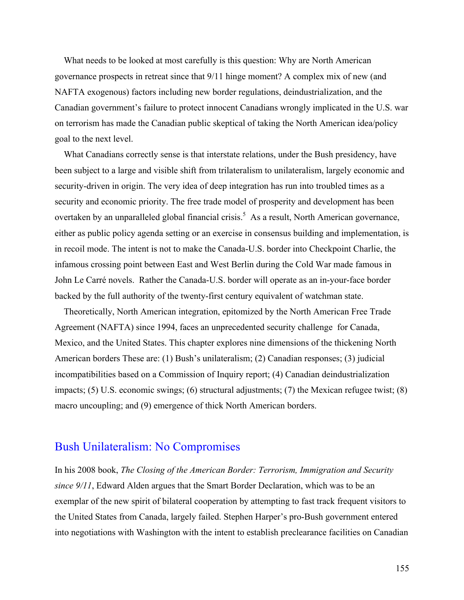What needs to be looked at most carefully is this question: Why are North American governance prospects in retreat since that 9/11 hinge moment? A complex mix of new (and NAFTA exogenous) factors including new border regulations, deindustrialization, and the Canadian government's failure to protect innocent Canadians wrongly implicated in the U.S. war on terrorism has made the Canadian public skeptical of taking the North American idea/policy goal to the next level.

What Canadians correctly sense is that interstate relations, under the Bush presidency, have been subject to a large and visible shift from trilateralism to unilateralism, largely economic and security-driven in origin. The very idea of deep integration has run into troubled times as a security and economic priority. The free trade model of prosperity and development has been overtaken by an unparalleled global financial crisis.<sup>5</sup> As a result, North American governance, either as public policy agenda setting or an exercise in consensus building and implementation, is in recoil mode. The intent is not to make the Canada-U.S. border into Checkpoint Charlie, the infamous crossing point between East and West Berlin during the Cold War made famous in John Le Carré novels. Rather the Canada-U.S. border will operate as an in-your-face border backed by the full authority of the twenty-first century equivalent of watchman state.

Theoretically, North American integration, epitomized by the North American Free Trade Agreement (NAFTA) since 1994, faces an unprecedented security challenge for Canada, Mexico, and the United States. This chapter explores nine dimensions of the thickening North American borders These are: (1) Bush's unilateralism; (2) Canadian responses; (3) judicial incompatibilities based on a Commission of Inquiry report; (4) Canadian deindustrialization impacts; (5) U.S. economic swings; (6) structural adjustments; (7) the Mexican refugee twist; (8) macro uncoupling; and (9) emergence of thick North American borders.

# Bush Unilateralism: No Compromises

In his 2008 book, *The Closing of the American Border: Terrorism, Immigration and Security since 9/11*, Edward Alden argues that the Smart Border Declaration, which was to be an exemplar of the new spirit of bilateral cooperation by attempting to fast track frequent visitors to the United States from Canada, largely failed. Stephen Harper's pro-Bush government entered into negotiations with Washington with the intent to establish preclearance facilities on Canadian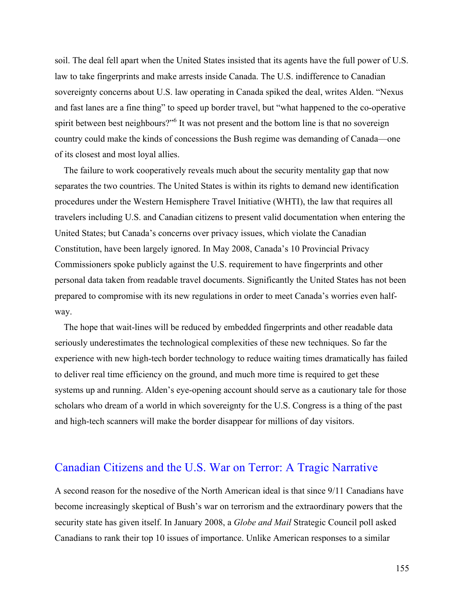soil. The deal fell apart when the United States insisted that its agents have the full power of U.S. law to take fingerprints and make arrests inside Canada. The U.S. indifference to Canadian sovereignty concerns about U.S. law operating in Canada spiked the deal, writes Alden. "Nexus and fast lanes are a fine thing" to speed up border travel, but "what happened to the co-operative spirit between best neighbours?"<sup>6</sup> It was not present and the bottom line is that no sovereign country could make the kinds of concessions the Bush regime was demanding of Canada—one of its closest and most loyal allies.

The failure to work cooperatively reveals much about the security mentality gap that now separates the two countries. The United States is within its rights to demand new identification procedures under the Western Hemisphere Travel Initiative (WHTI), the law that requires all travelers including U.S. and Canadian citizens to present valid documentation when entering the United States; but Canada's concerns over privacy issues, which violate the Canadian Constitution, have been largely ignored. In May 2008, Canada's 10 Provincial Privacy Commissioners spoke publicly against the U.S. requirement to have fingerprints and other personal data taken from readable travel documents. Significantly the United States has not been prepared to compromise with its new regulations in order to meet Canada's worries even halfway.

The hope that wait-lines will be reduced by embedded fingerprints and other readable data seriously underestimates the technological complexities of these new techniques. So far the experience with new high-tech border technology to reduce waiting times dramatically has failed to deliver real time efficiency on the ground, and much more time is required to get these systems up and running. Alden's eye-opening account should serve as a cautionary tale for those scholars who dream of a world in which sovereignty for the U.S. Congress is a thing of the past and high-tech scanners will make the border disappear for millions of day visitors.

#### Canadian Citizens and the U.S. War on Terror: A Tragic Narrative

A second reason for the nosedive of the North American ideal is that since 9/11 Canadians have become increasingly skeptical of Bush's war on terrorism and the extraordinary powers that the security state has given itself. In January 2008, a *Globe and Mail* Strategic Council poll asked Canadians to rank their top 10 issues of importance. Unlike American responses to a similar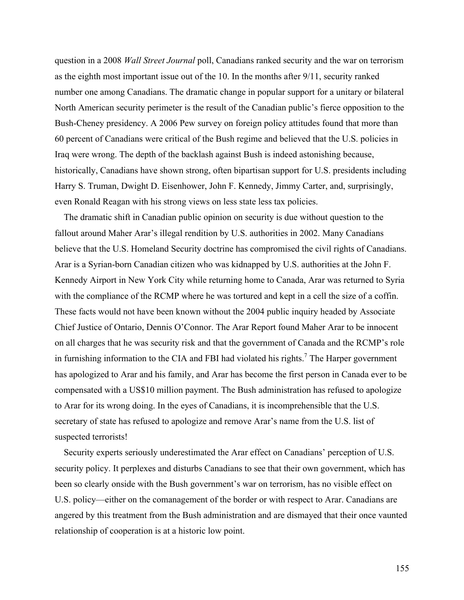question in a 2008 *Wall Street Journal* poll, Canadians ranked security and the war on terrorism as the eighth most important issue out of the 10. In the months after 9/11, security ranked number one among Canadians. The dramatic change in popular support for a unitary or bilateral North American security perimeter is the result of the Canadian public's fierce opposition to the Bush-Cheney presidency. A 2006 Pew survey on foreign policy attitudes found that more than 60 percent of Canadians were critical of the Bush regime and believed that the U.S. policies in Iraq were wrong. The depth of the backlash against Bush is indeed astonishing because, historically, Canadians have shown strong, often bipartisan support for U.S. presidents including Harry S. Truman, Dwight D. Eisenhower, John F. Kennedy, Jimmy Carter, and, surprisingly, even Ronald Reagan with his strong views on less state less tax policies.

The dramatic shift in Canadian public opinion on security is due without question to the fallout around Maher Arar's illegal rendition by U.S. authorities in 2002. Many Canadians believe that the U.S. Homeland Security doctrine has compromised the civil rights of Canadians. Arar is a Syrian-born Canadian citizen who was kidnapped by U.S. authorities at the John F. Kennedy Airport in New York City while returning home to Canada, Arar was returned to Syria with the compliance of the RCMP where he was tortured and kept in a cell the size of a coffin. These facts would not have been known without the 2004 public inquiry headed by Associate Chief Justice of Ontario, Dennis O'Connor. The Arar Report found Maher Arar to be innocent on all charges that he was security risk and that the government of Canada and the RCMP's role in furnishing information to the CIA and FBI had violated his rights.<sup>7</sup> The Harper government has apologized to Arar and his family, and Arar has become the first person in Canada ever to be compensated with a US\$10 million payment. The Bush administration has refused to apologize to Arar for its wrong doing. In the eyes of Canadians, it is incomprehensible that the U.S. secretary of state has refused to apologize and remove Arar's name from the U.S. list of suspected terrorists!

Security experts seriously underestimated the Arar effect on Canadians' perception of U.S. security policy. It perplexes and disturbs Canadians to see that their own government, which has been so clearly onside with the Bush government's war on terrorism, has no visible effect on U.S. policy—either on the comanagement of the border or with respect to Arar. Canadians are angered by this treatment from the Bush administration and are dismayed that their once vaunted relationship of cooperation is at a historic low point.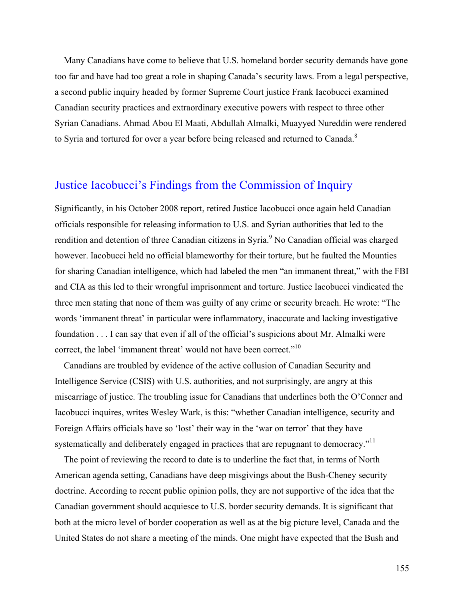Many Canadians have come to believe that U.S. homeland border security demands have gone too far and have had too great a role in shaping Canada's security laws. From a legal perspective, a second public inquiry headed by former Supreme Court justice Frank Iacobucci examined Canadian security practices and extraordinary executive powers with respect to three other Syrian Canadians. Ahmad Abou El Maati, Abdullah Almalki, Muayyed Nureddin were rendered to Syria and tortured for over a year before being released and returned to Canada.<sup>8</sup>

# Justice Iacobucci's Findings from the Commission of Inquiry

Significantly, in his October 2008 report, retired Justice Iacobucci once again held Canadian officials responsible for releasing information to U.S. and Syrian authorities that led to the rendition and detention of three Canadian citizens in Syria.<sup>9</sup> No Canadian official was charged however. Iacobucci held no official blameworthy for their torture, but he faulted the Mounties for sharing Canadian intelligence, which had labeled the men "an immanent threat," with the FBI and CIA as this led to their wrongful imprisonment and torture. Justice Iacobucci vindicated the three men stating that none of them was guilty of any crime or security breach. He wrote: "The words 'immanent threat' in particular were inflammatory, inaccurate and lacking investigative foundation . . . I can say that even if all of the official's suspicions about Mr. Almalki were correct, the label 'immanent threat' would not have been correct."<sup>10</sup>

Canadians are troubled by evidence of the active collusion of Canadian Security and Intelligence Service (CSIS) with U.S. authorities, and not surprisingly, are angry at this miscarriage of justice. The troubling issue for Canadians that underlines both the O'Conner and Iacobucci inquires, writes Wesley Wark, is this: "whether Canadian intelligence, security and Foreign Affairs officials have so 'lost' their way in the 'war on terror' that they have systematically and deliberately engaged in practices that are repugnant to democracy."<sup>11</sup>

The point of reviewing the record to date is to underline the fact that, in terms of North American agenda setting, Canadians have deep misgivings about the Bush-Cheney security doctrine. According to recent public opinion polls, they are not supportive of the idea that the Canadian government should acquiesce to U.S. border security demands. It is significant that both at the micro level of border cooperation as well as at the big picture level, Canada and the United States do not share a meeting of the minds. One might have expected that the Bush and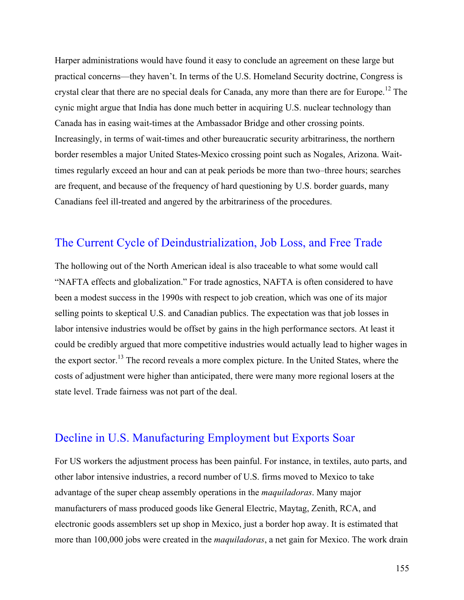Harper administrations would have found it easy to conclude an agreement on these large but practical concerns—they haven't. In terms of the U.S. Homeland Security doctrine, Congress is crystal clear that there are no special deals for Canada, any more than there are for Europe.<sup>12</sup> The cynic might argue that India has done much better in acquiring U.S. nuclear technology than Canada has in easing wait-times at the Ambassador Bridge and other crossing points. Increasingly, in terms of wait-times and other bureaucratic security arbitrariness, the northern border resembles a major United States-Mexico crossing point such as Nogales, Arizona. Waittimes regularly exceed an hour and can at peak periods be more than two–three hours; searches are frequent, and because of the frequency of hard questioning by U.S. border guards, many Canadians feel ill-treated and angered by the arbitrariness of the procedures.

# The Current Cycle of Deindustrialization, Job Loss, and Free Trade

The hollowing out of the North American ideal is also traceable to what some would call "NAFTA effects and globalization." For trade agnostics, NAFTA is often considered to have been a modest success in the 1990s with respect to job creation, which was one of its major selling points to skeptical U.S. and Canadian publics. The expectation was that job losses in labor intensive industries would be offset by gains in the high performance sectors. At least it could be credibly argued that more competitive industries would actually lead to higher wages in the export sector.<sup>13</sup> The record reveals a more complex picture. In the United States, where the costs of adjustment were higher than anticipated, there were many more regional losers at the state level. Trade fairness was not part of the deal.

# Decline in U.S. Manufacturing Employment but Exports Soar

For US workers the adjustment process has been painful. For instance, in textiles, auto parts, and other labor intensive industries, a record number of U.S. firms moved to Mexico to take advantage of the super cheap assembly operations in the *maquiladoras*. Many major manufacturers of mass produced goods like General Electric, Maytag, Zenith, RCA, and electronic goods assemblers set up shop in Mexico, just a border hop away. It is estimated that more than 100,000 jobs were created in the *maquiladoras*, a net gain for Mexico. The work drain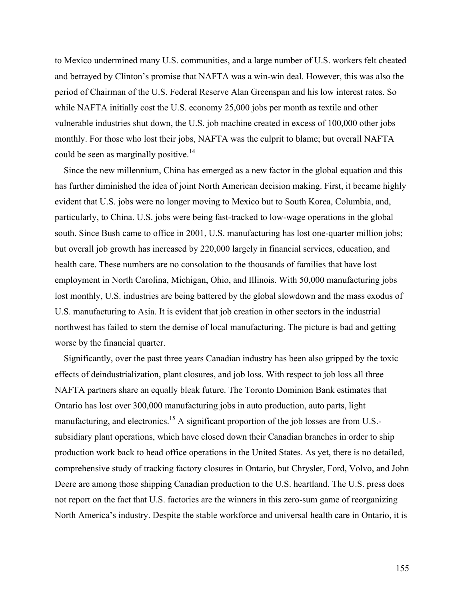to Mexico undermined many U.S. communities, and a large number of U.S. workers felt cheated and betrayed by Clinton's promise that NAFTA was a win-win deal. However, this was also the period of Chairman of the U.S. Federal Reserve Alan Greenspan and his low interest rates. So while NAFTA initially cost the U.S. economy 25,000 jobs per month as textile and other vulnerable industries shut down, the U.S. job machine created in excess of 100,000 other jobs monthly. For those who lost their jobs, NAFTA was the culprit to blame; but overall NAFTA could be seen as marginally positive.<sup>14</sup>

Since the new millennium, China has emerged as a new factor in the global equation and this has further diminished the idea of joint North American decision making. First, it became highly evident that U.S. jobs were no longer moving to Mexico but to South Korea, Columbia, and, particularly, to China. U.S. jobs were being fast-tracked to low-wage operations in the global south. Since Bush came to office in 2001, U.S. manufacturing has lost one-quarter million jobs; but overall job growth has increased by 220,000 largely in financial services, education, and health care. These numbers are no consolation to the thousands of families that have lost employment in North Carolina, Michigan, Ohio, and Illinois. With 50,000 manufacturing jobs lost monthly, U.S. industries are being battered by the global slowdown and the mass exodus of U.S. manufacturing to Asia. It is evident that job creation in other sectors in the industrial northwest has failed to stem the demise of local manufacturing. The picture is bad and getting worse by the financial quarter.

Significantly, over the past three years Canadian industry has been also gripped by the toxic effects of deindustrialization, plant closures, and job loss. With respect to job loss all three NAFTA partners share an equally bleak future. The Toronto Dominion Bank estimates that Ontario has lost over 300,000 manufacturing jobs in auto production, auto parts, light manufacturing, and electronics.<sup>15</sup> A significant proportion of the job losses are from U.S.subsidiary plant operations, which have closed down their Canadian branches in order to ship production work back to head office operations in the United States. As yet, there is no detailed, comprehensive study of tracking factory closures in Ontario, but Chrysler, Ford, Volvo, and John Deere are among those shipping Canadian production to the U.S. heartland. The U.S. press does not report on the fact that U.S. factories are the winners in this zero-sum game of reorganizing North America's industry. Despite the stable workforce and universal health care in Ontario, it is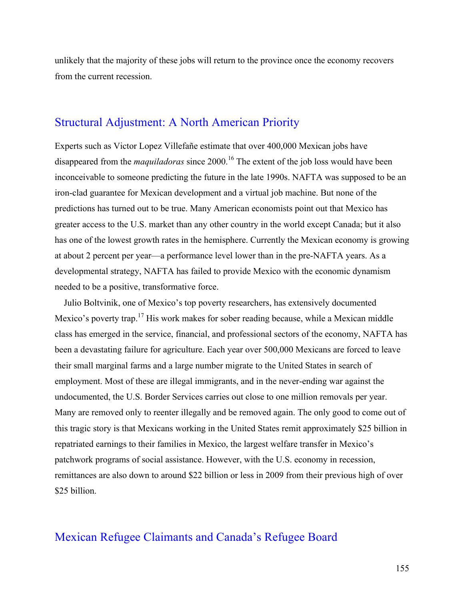unlikely that the majority of these jobs will return to the province once the economy recovers from the current recession.

### Structural Adjustment: A North American Priority

Experts such as Victor Lopez Villefañe estimate that over 400,000 Mexican jobs have disappeared from the *maquiladoras* since 2000.<sup>16</sup> The extent of the job loss would have been inconceivable to someone predicting the future in the late 1990s. NAFTA was supposed to be an iron-clad guarantee for Mexican development and a virtual job machine. But none of the predictions has turned out to be true. Many American economists point out that Mexico has greater access to the U.S. market than any other country in the world except Canada; but it also has one of the lowest growth rates in the hemisphere. Currently the Mexican economy is growing at about 2 percent per year—a performance level lower than in the pre-NAFTA years. As a developmental strategy, NAFTA has failed to provide Mexico with the economic dynamism needed to be a positive, transformative force.

Julio Boltvinik, one of Mexico's top poverty researchers, has extensively documented Mexico's poverty trap.<sup>17</sup> His work makes for sober reading because, while a Mexican middle class has emerged in the service, financial, and professional sectors of the economy, NAFTA has been a devastating failure for agriculture. Each year over 500,000 Mexicans are forced to leave their small marginal farms and a large number migrate to the United States in search of employment. Most of these are illegal immigrants, and in the never-ending war against the undocumented, the U.S. Border Services carries out close to one million removals per year. Many are removed only to reenter illegally and be removed again. The only good to come out of this tragic story is that Mexicans working in the United States remit approximately \$25 billion in repatriated earnings to their families in Mexico, the largest welfare transfer in Mexico's patchwork programs of social assistance. However, with the U.S. economy in recession, remittances are also down to around \$22 billion or less in 2009 from their previous high of over \$25 billion.

# Mexican Refugee Claimants and Canada's Refugee Board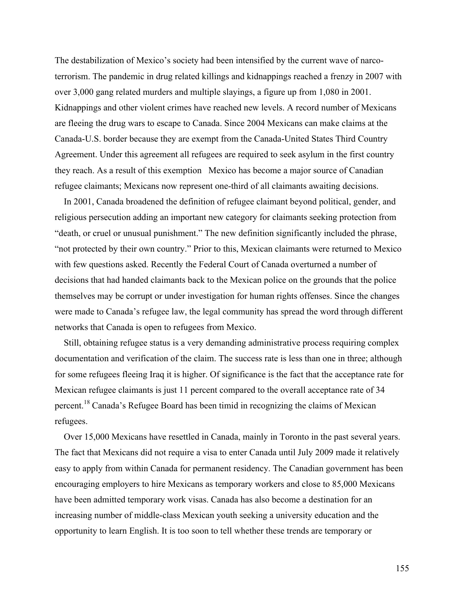The destabilization of Mexico's society had been intensified by the current wave of narcoterrorism. The pandemic in drug related killings and kidnappings reached a frenzy in 2007 with over 3,000 gang related murders and multiple slayings, a figure up from 1,080 in 2001. Kidnappings and other violent crimes have reached new levels. A record number of Mexicans are fleeing the drug wars to escape to Canada. Since 2004 Mexicans can make claims at the Canada-U.S. border because they are exempt from the Canada-United States Third Country Agreement. Under this agreement all refugees are required to seek asylum in the first country they reach. As a result of this exemption Mexico has become a major source of Canadian refugee claimants; Mexicans now represent one-third of all claimants awaiting decisions.

In 2001, Canada broadened the definition of refugee claimant beyond political, gender, and religious persecution adding an important new category for claimants seeking protection from "death, or cruel or unusual punishment." The new definition significantly included the phrase, "not protected by their own country." Prior to this, Mexican claimants were returned to Mexico with few questions asked. Recently the Federal Court of Canada overturned a number of decisions that had handed claimants back to the Mexican police on the grounds that the police themselves may be corrupt or under investigation for human rights offenses. Since the changes were made to Canada's refugee law, the legal community has spread the word through different networks that Canada is open to refugees from Mexico.

Still, obtaining refugee status is a very demanding administrative process requiring complex documentation and verification of the claim. The success rate is less than one in three; although for some refugees fleeing Iraq it is higher. Of significance is the fact that the acceptance rate for Mexican refugee claimants is just 11 percent compared to the overall acceptance rate of 34 percent.<sup>18</sup> Canada's Refugee Board has been timid in recognizing the claims of Mexican refugees.

Over 15,000 Mexicans have resettled in Canada, mainly in Toronto in the past several years. The fact that Mexicans did not require a visa to enter Canada until July 2009 made it relatively easy to apply from within Canada for permanent residency. The Canadian government has been encouraging employers to hire Mexicans as temporary workers and close to 85,000 Mexicans have been admitted temporary work visas. Canada has also become a destination for an increasing number of middle-class Mexican youth seeking a university education and the opportunity to learn English. It is too soon to tell whether these trends are temporary or

155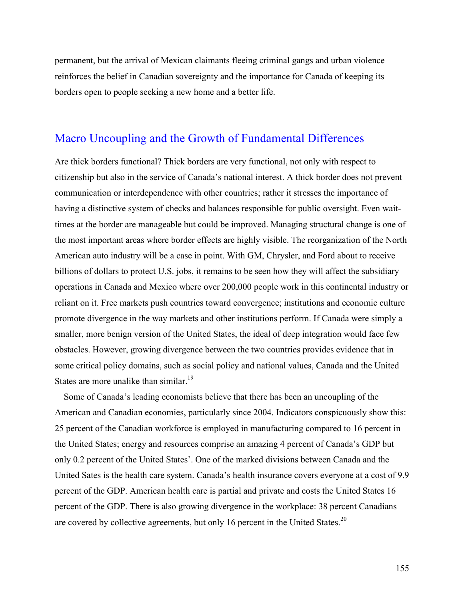permanent, but the arrival of Mexican claimants fleeing criminal gangs and urban violence reinforces the belief in Canadian sovereignty and the importance for Canada of keeping its borders open to people seeking a new home and a better life.

# Macro Uncoupling and the Growth of Fundamental Differences

Are thick borders functional? Thick borders are very functional, not only with respect to citizenship but also in the service of Canada's national interest. A thick border does not prevent communication or interdependence with other countries; rather it stresses the importance of having a distinctive system of checks and balances responsible for public oversight. Even waittimes at the border are manageable but could be improved. Managing structural change is one of the most important areas where border effects are highly visible. The reorganization of the North American auto industry will be a case in point. With GM, Chrysler, and Ford about to receive billions of dollars to protect U.S. jobs, it remains to be seen how they will affect the subsidiary operations in Canada and Mexico where over 200,000 people work in this continental industry or reliant on it. Free markets push countries toward convergence; institutions and economic culture promote divergence in the way markets and other institutions perform. If Canada were simply a smaller, more benign version of the United States, the ideal of deep integration would face few obstacles. However, growing divergence between the two countries provides evidence that in some critical policy domains, such as social policy and national values, Canada and the United States are more unalike than similar.<sup>19</sup>

Some of Canada's leading economists believe that there has been an uncoupling of the American and Canadian economies, particularly since 2004. Indicators conspicuously show this: 25 percent of the Canadian workforce is employed in manufacturing compared to 16 percent in the United States; energy and resources comprise an amazing 4 percent of Canada's GDP but only 0.2 percent of the United States'. One of the marked divisions between Canada and the United Sates is the health care system. Canada's health insurance covers everyone at a cost of 9.9 percent of the GDP. American health care is partial and private and costs the United States 16 percent of the GDP. There is also growing divergence in the workplace: 38 percent Canadians are covered by collective agreements, but only 16 percent in the United States.<sup>20</sup>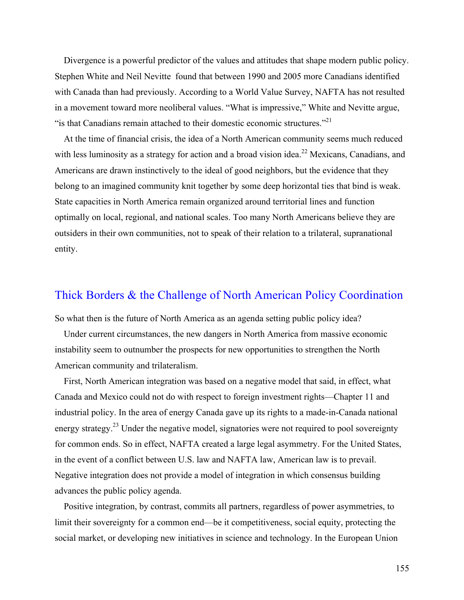Divergence is a powerful predictor of the values and attitudes that shape modern public policy. Stephen White and Neil Nevitte found that between 1990 and 2005 more Canadians identified with Canada than had previously. According to a World Value Survey, NAFTA has not resulted in a movement toward more neoliberal values. "What is impressive," White and Nevitte argue, " is that Canadians remain attached to their domestic economic structures."<sup>21</sup>

At the time of financial crisis, the idea of a North American community seems much reduced with less luminosity as a strategy for action and a broad vision idea.<sup>22</sup> Mexicans, Canadians, and Americans are drawn instinctively to the ideal of good neighbors, but the evidence that they belong to an imagined community knit together by some deep horizontal ties that bind is weak. State capacities in North America remain organized around territorial lines and function optimally on local, regional, and national scales. Too many North Americans believe they are outsiders in their own communities, not to speak of their relation to a trilateral, supranational entity.

#### Thick Borders & the Challenge of North American Policy Coordination

So what then is the future of North America as an agenda setting public policy idea?

Under current circumstances, the new dangers in North America from massive economic instability seem to outnumber the prospects for new opportunities to strengthen the North American community and trilateralism.

First, North American integration was based on a negative model that said, in effect, what Canada and Mexico could not do with respect to foreign investment rights—Chapter 11 and industrial policy. In the area of energy Canada gave up its rights to a made-in-Canada national energy strategy.<sup>23</sup> Under the negative model, signatories were not required to pool sovereignty for common ends. So in effect, NAFTA created a large legal asymmetry. For the United States, in the event of a conflict between U.S. law and NAFTA law, American law is to prevail. Negative integration does not provide a model of integration in which consensus building advances the public policy agenda.

Positive integration, by contrast, commits all partners, regardless of power asymmetries, to limit their sovereignty for a common end—be it competitiveness, social equity, protecting the social market, or developing new initiatives in science and technology. In the European Union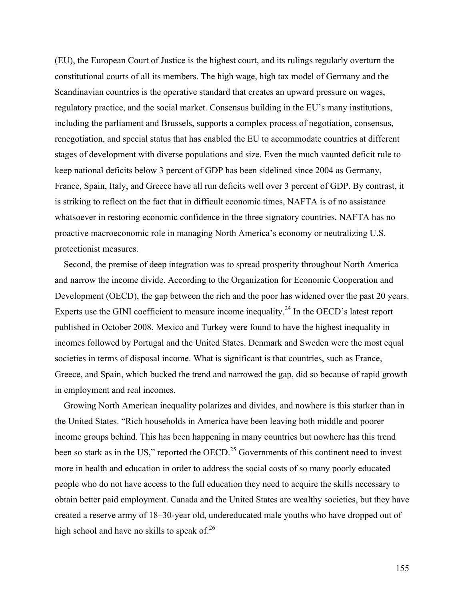(EU), the European Court of Justice is the highest court, and its rulings regularly overturn the constitutional courts of all its members. The high wage, high tax model of Germany and the Scandinavian countries is the operative standard that creates an upward pressure on wages, regulatory practice, and the social market. Consensus building in the EU's many institutions, including the parliament and Brussels, supports a complex process of negotiation, consensus, renegotiation, and special status that has enabled the EU to accommodate countries at different stages of development with diverse populations and size. Even the much vaunted deficit rule to keep national deficits below 3 percent of GDP has been sidelined since 2004 as Germany, France, Spain, Italy, and Greece have all run deficits well over 3 percent of GDP. By contrast, it is striking to reflect on the fact that in difficult economic times, NAFTA is of no assistance whatsoever in restoring economic confidence in the three signatory countries. NAFTA has no proactive macroeconomic role in managing North America's economy or neutralizing U.S. protectionist measures.

Second, the premise of deep integration was to spread prosperity throughout North America and narrow the income divide. According to the Organization for Economic Cooperation and Development (OECD), the gap between the rich and the poor has widened over the past 20 years. Experts use the GINI coefficient to measure income inequality.<sup>24</sup> In the OECD's latest report published in October 2008, Mexico and Turkey were found to have the highest inequality in incomes followed by Portugal and the United States. Denmark and Sweden were the most equal societies in terms of disposal income. What is significant is that countries, such as France, Greece, and Spain, which bucked the trend and narrowed the gap, did so because of rapid growth in employment and real incomes.

Growing North American inequality polarizes and divides, and nowhere is this starker than in the United States. "Rich households in America have been leaving both middle and poorer income groups behind. This has been happening in many countries but nowhere has this trend been so stark as in the US," reported the OECD.<sup>25</sup> Governments of this continent need to invest more in health and education in order to address the social costs of so many poorly educated people who do not have access to the full education they need to acquire the skills necessary to obtain better paid employment. Canada and the United States are wealthy societies, but they have created a reserve army of 18–30-year old, undereducated male youths who have dropped out of high school and have no skills to speak of.<sup>26</sup>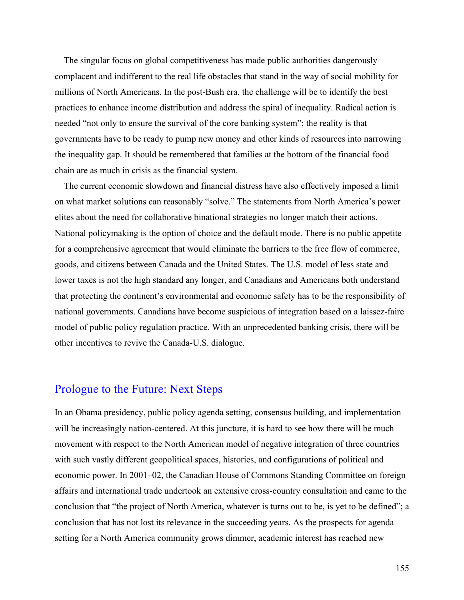The singular focus on global competitiveness has made public authorities dangerously complacent and indifferent to the real life obstacles that stand in the way of social mobility for millions of North Americans. In the post-Bush era, the challenge will be to identify the best practices to enhance income distribution and address the spiral of inequality. Radical action is needed "not only to ensure the survival of the core banking system"; the reality is that governments have to be ready to pump new money and other kinds of resources into narrowing the inequality gap. It should be remembered that families at the bottom of the financial food chain are as much in crisis as the financial system.

The current economic slowdown and financial distress have also effectively imposed a limit on what market solutions can reasonably "solve." The statements from North America's power elites about the need for collaborative binational strategies no longer match their actions. National policymaking is the option of choice and the default mode. There is no public appetite for a comprehensive agreement that would eliminate the barriers to the free flow of commerce, goods, and citizens between Canada and the United States. The U.S. model of less state and lower taxes is not the high standard any longer, and Canadians and Americans both understand that protecting the continent's environmental and economic safety has to be the responsibility of national governments. Canadians have become suspicious of integration based on a laissez-faire model of public policy regulation practice. With an unprecedented banking crisis, there will be other incentives to revive the Canada-U.S. dialogue.

# Prologue to the Future: Next Steps

In an Obama presidency, public policy agenda setting, consensus building, and implementation will be increasingly nation-centered. At this juncture, it is hard to see how there will be much movement with respect to the North American model of negative integration of three countries with such vastly different geopolitical spaces, histories, and configurations of political and economic power. In 2001–02, the Canadian House of Commons Standing Committee on foreign affairs and international trade undertook an extensive cross-country consultation and came to the conclusion that "the project of North America, whatever is turns out to be, is yet to be defined"; a conclusion that has not lost its relevance in the succeeding years. As the prospects for agenda setting for a North America community grows dimmer, academic interest has reached new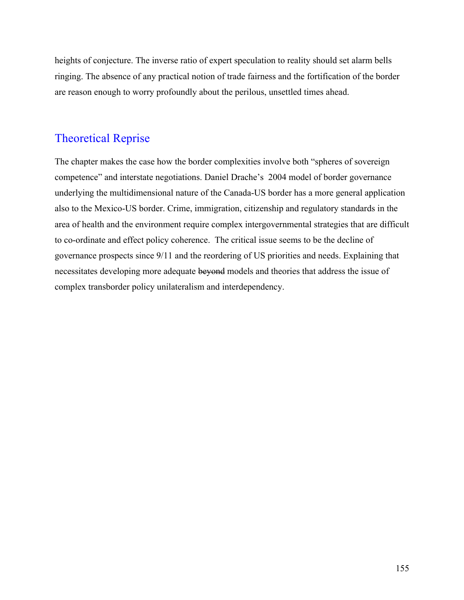heights of conjecture. The inverse ratio of expert speculation to reality should set alarm bells ringing. The absence of any practical notion of trade fairness and the fortification of the border are reason enough to worry profoundly about the perilous, unsettled times ahead.

# Theoretical Reprise

The chapter makes the case how the border complexities involve both "spheres of sovereign competence" and interstate negotiations. Daniel Drache's 2004 model of border governance underlying the multidimensional nature of the Canada-US border has a more general application also to the Mexico-US border. Crime, immigration, citizenship and regulatory standards in the area of health and the environment require complex intergovernmental strategies that are difficult to co-ordinate and effect policy coherence. The critical issue seems to be the decline of governance prospects since 9/11 and the reordering of US priorities and needs. Explaining that necessitates developing more adequate beyond models and theories that address the issue of complex transborder policy unilateralism and interdependency.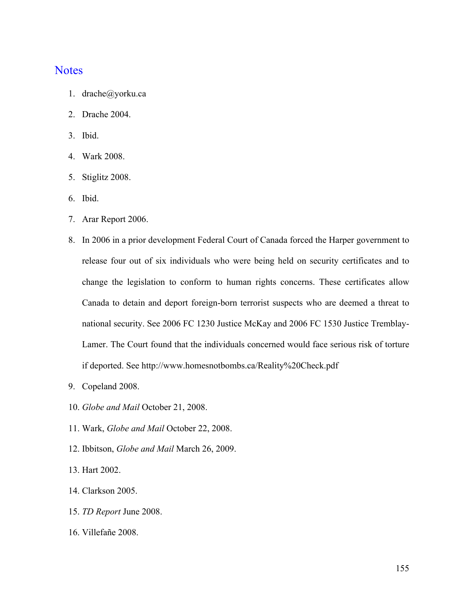#### **Notes**

- 1. drache@yorku.ca
- 2. Drache 2004.
- 3. Ibid.
- 4. Wark 2008.
- 5. Stiglitz 2008.
- 6. Ibid.
- 7. Arar Report 2006.
- 8. In 2006 in a prior development Federal Court of Canada forced the Harper government to release four out of six individuals who were being held on security certificates and to change the legislation to conform to human rights concerns. These certificates allow Canada to detain and deport foreign-born terrorist suspects who are deemed a threat to national security. See 2006 FC 1230 Justice McKay and 2006 FC 1530 Justice Tremblay-Lamer. The Court found that the individuals concerned would face serious risk of torture if deported. See http://www.homesnotbombs.ca/Reality%20Check.pdf
- 9. Copeland 2008.
- 10. *Globe and Mail* October 21, 2008.
- 11. Wark, *Globe and Mail* October 22, 2008.
- 12. Ibbitson, *Globe and Mail* March 26, 2009.
- 13. Hart 2002.
- 14. Clarkson 2005.
- 15. *TD Report* June 2008.
- 16. Villefañe 2008.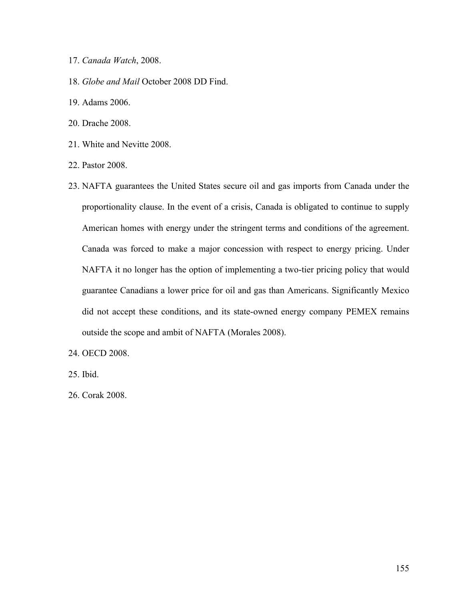- 17. *Canada Watch*, 2008.
- 18. *Globe and Mail* October 2008 DD Find.
- 19. Adams 2006.
- 20. Drache 2008.
- 21. White and Nevitte 2008.
- 22. Pastor 2008.
- 23. NAFTA guarantees the United States secure oil and gas imports from Canada under the proportionality clause. In the event of a crisis, Canada is obligated to continue to supply American homes with energy under the stringent terms and conditions of the agreement. Canada was forced to make a major concession with respect to energy pricing. Under NAFTA it no longer has the option of implementing a two-tier pricing policy that would guarantee Canadians a lower price for oil and gas than Americans. Significantly Mexico did not accept these conditions, and its state-owned energy company PEMEX remains outside the scope and ambit of NAFTA (Morales 2008).
- 24. OECD 2008.
- 25. Ibid.
- 26. Corak 2008.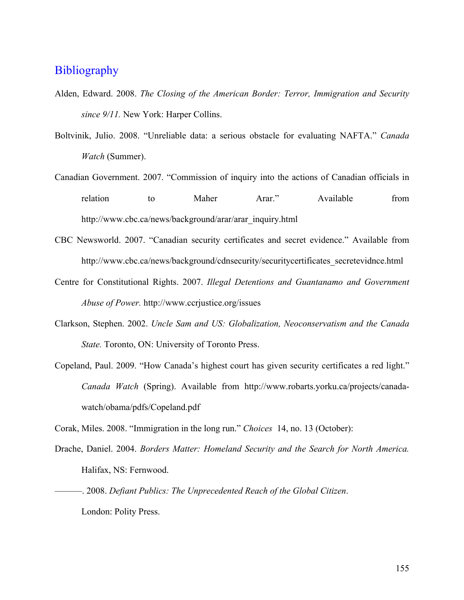# **Bibliography**

- Alden, Edward. 2008. *The Closing of the American Border: Terror, Immigration and Security since 9/11.* New York: Harper Collins.
- Boltvinik, Julio. 2008. "Unreliable data: a serious obstacle for evaluating NAFTA." *Canada Watch* (Summer).
- Canadian Government. 2007. "Commission of inquiry into the actions of Canadian officials in relation to Maher Arar." Available from http://www.cbc.ca/news/background/arar/arar\_inquiry.html
- CBC Newsworld. 2007. "Canadian security certificates and secret evidence." Available from http://www.cbc.ca/news/background/cdnsecurity/securitycertificates\_secretevidnce.html
- Centre for Constitutional Rights. 2007. *Illegal Detentions and Guantanamo and Government Abuse of Power.* http://www.ccrjustice.org/issues
- Clarkson, Stephen. 2002. *Uncle Sam and US: Globalization, Neoconservatism and the Canada State.* Toronto, ON: University of Toronto Press.
- Copeland, Paul. 2009. "How Canada's highest court has given security certificates a red light." *Canada Watch* (Spring). Available from http://www.robarts.yorku.ca/projects/canadawatch/obama/pdfs/Copeland.pdf
- Corak, Miles. 2008. "Immigration in the long run." *Choices* 14, no. 13 (October):
- Drache, Daniel. 2004. *Borders Matter: Homeland Security and the Search for North America.* Halifax, NS: Fernwood.
- ———. 2008. *Defiant Publics: The Unprecedented Reach of the Global Citizen*. London: Polity Press.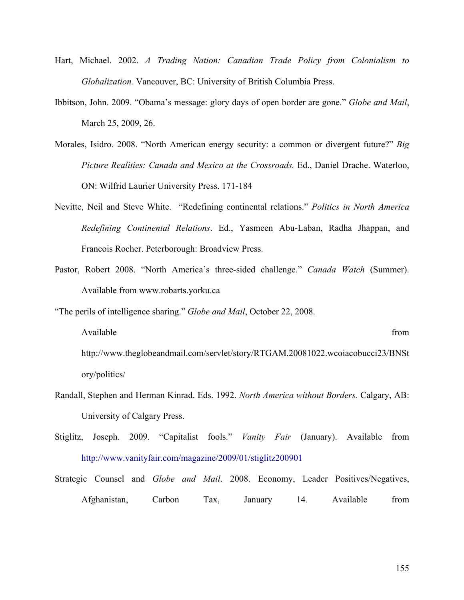- Hart, Michael. 2002. *A Trading Nation: Canadian Trade Policy from Colonialism to Globalization.* Vancouver, BC: University of British Columbia Press.
- Ibbitson, John. 2009. "Obama's message: glory days of open border are gone." *Globe and Mail*, March 25, 2009, 26.
- Morales, Isidro. 2008. "North American energy security: a common or divergent future?" *Big Picture Realities: Canada and Mexico at the Crossroads.* Ed., Daniel Drache. Waterloo, ON: Wilfrid Laurier University Press. 171-184
- Nevitte, Neil and Steve White. "Redefining continental relations." *Politics in North America Redefining Continental Relations*. Ed., Yasmeen Abu-Laban, Radha Jhappan, and Francois Rocher. Peterborough: Broadview Press.
- Pastor, Robert 2008. "North America's three-sided challenge." *Canada Watch* (Summer). Available from www.robarts.yorku.ca
- "The perils of intelligence sharing." *Globe and Mail*, October 22, 2008.
	- Available from the state of the state of the state of the state of the state of the state of the state of the state of the state of the state of the state of the state of the state of the state of the state of the state of http://www.theglobeandmail.com/servlet/story/RTGAM.20081022.wcoiacobucci23/BNSt ory/politics/
- Randall, Stephen and Herman Kinrad. Eds. 1992. *North America without Borders.* Calgary, AB: University of Calgary Press.
- Stiglitz, Joseph. 2009. "Capitalist fools." *Vanity Fair* (January). Available from http://www.vanityfair.com/magazine/2009/01/stiglitz200901
- Strategic Counsel and *Globe and Mail*. 2008. Economy, Leader Positives/Negatives, Afghanistan, Carbon Tax, January 14. Available from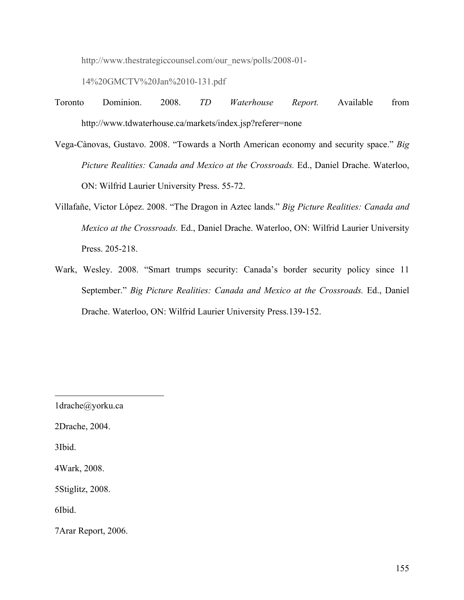http://www.thestrategiccounsel.com/our\_news/polls/2008-01-

14%20GMCTV%20Jan%2010-131.pdf

- Toronto Dominion. 2008. *TD Waterhouse Report.* Available from http://www.tdwaterhouse.ca/markets/index.jsp?referer=none
- Vega-Cànovas, Gustavo. 2008. "Towards a North American economy and security space." *Big Picture Realities: Canada and Mexico at the Crossroads.* Ed., Daniel Drache. Waterloo, ON: Wilfrid Laurier University Press. 55-72.
- Villafañe, Victor López. 2008. "The Dragon in Aztec lands." *Big Picture Realities: Canada and Mexico at the Crossroads.* Ed., Daniel Drache. Waterloo, ON: Wilfrid Laurier University Press. 205-218.
- Wark, Wesley. 2008. "Smart trumps security: Canada's border security policy since 11 September." *Big Picture Realities: Canada and Mexico at the Crossroads. Ed., Daniel* Drache. Waterloo, ON: Wilfrid Laurier University Press.139-152.

1drache@yorku.ca

2Drache, 2004.

3Ibid.

1

4Wark, 2008.

5Stiglitz, 2008.

6Ibid.

7Arar Report, 2006.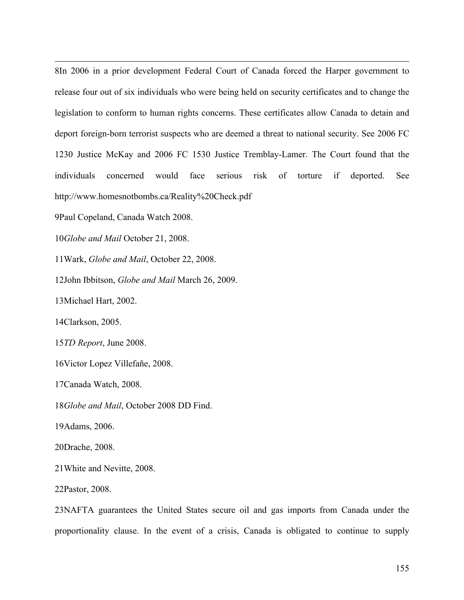<u>.</u> 8In 2006 in a prior development Federal Court of Canada forced the Harper government to release four out of six individuals who were being held on security certificates and to change the legislation to conform to human rights concerns. These certificates allow Canada to detain and deport foreign-born terrorist suspects who are deemed a threat to national security. See 2006 FC 1230 Justice McKay and 2006 FC 1530 Justice Tremblay-Lamer. The Court found that the individuals concerned would face serious risk of torture if deported. See http://www.homesnotbombs.ca/Reality%20Check.pdf

9Paul Copeland, Canada Watch 2008.

10*Globe and Mail* October 21, 2008.

11Wark, *Globe and Mail*, October 22, 2008.

12John Ibbitson, *Globe and Mail* March 26, 2009.

13Michael Hart, 2002.

14Clarkson, 2005.

15*TD Report*, June 2008.

16Victor Lopez Villefañe, 2008.

17Canada Watch, 2008.

18*Globe and Mail*, October 2008 DD Find.

19Adams, 2006.

20Drache, 2008.

21White and Nevitte, 2008.

22Pastor, 2008.

23NAFTA guarantees the United States secure oil and gas imports from Canada under the proportionality clause. In the event of a crisis, Canada is obligated to continue to supply